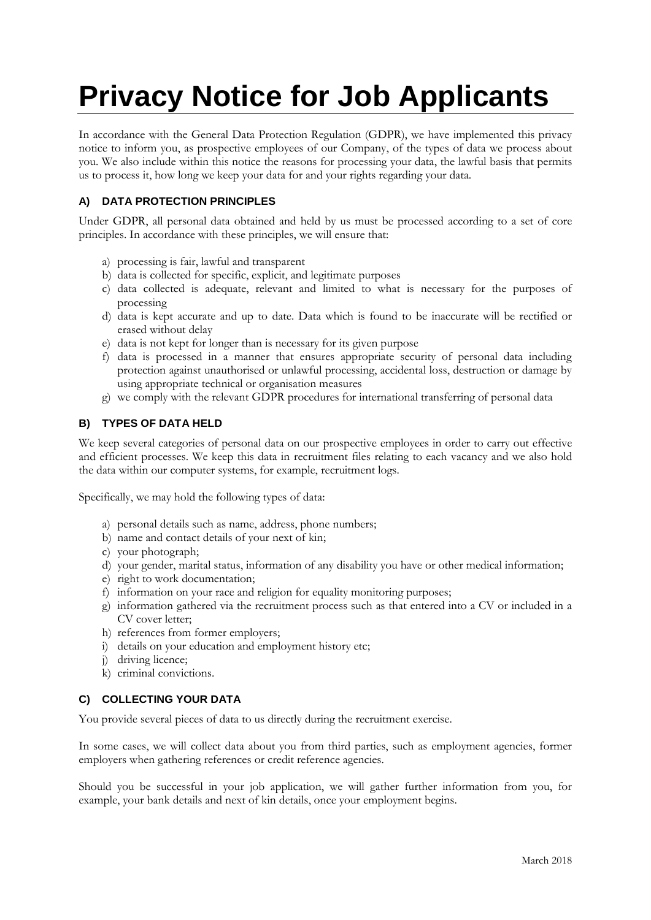# **Privacy Notice for Job Applicants**

In accordance with the General Data Protection Regulation (GDPR), we have implemented this privacy notice to inform you, as prospective employees of our Company, of the types of data we process about you. We also include within this notice the reasons for processing your data, the lawful basis that permits us to process it, how long we keep your data for and your rights regarding your data.

# **A) DATA PROTECTION PRINCIPLES**

Under GDPR, all personal data obtained and held by us must be processed according to a set of core principles. In accordance with these principles, we will ensure that:

- a) processing is fair, lawful and transparent
- b) data is collected for specific, explicit, and legitimate purposes
- c) data collected is adequate, relevant and limited to what is necessary for the purposes of processing
- d) data is kept accurate and up to date. Data which is found to be inaccurate will be rectified or erased without delay
- e) data is not kept for longer than is necessary for its given purpose
- f) data is processed in a manner that ensures appropriate security of personal data including protection against unauthorised or unlawful processing, accidental loss, destruction or damage by using appropriate technical or organisation measures
- g) we comply with the relevant GDPR procedures for international transferring of personal data

## **B) TYPES OF DATA HELD**

We keep several categories of personal data on our prospective employees in order to carry out effective and efficient processes. We keep this data in recruitment files relating to each vacancy and we also hold the data within our computer systems, for example, recruitment logs.

Specifically, we may hold the following types of data:

- a) personal details such as name, address, phone numbers;
- b) name and contact details of your next of kin;
- c) your photograph;
- d) your gender, marital status, information of any disability you have or other medical information;
- e) right to work documentation;
- f) information on your race and religion for equality monitoring purposes;
- g) information gathered via the recruitment process such as that entered into a CV or included in a CV cover letter;
- h) references from former employers;
- i) details on your education and employment history etc;
- j) driving licence;
- k) criminal convictions.

### **C) COLLECTING YOUR DATA**

You provide several pieces of data to us directly during the recruitment exercise.

In some cases, we will collect data about you from third parties, such as employment agencies, former employers when gathering references or credit reference agencies.

Should you be successful in your job application, we will gather further information from you, for example, your bank details and next of kin details, once your employment begins.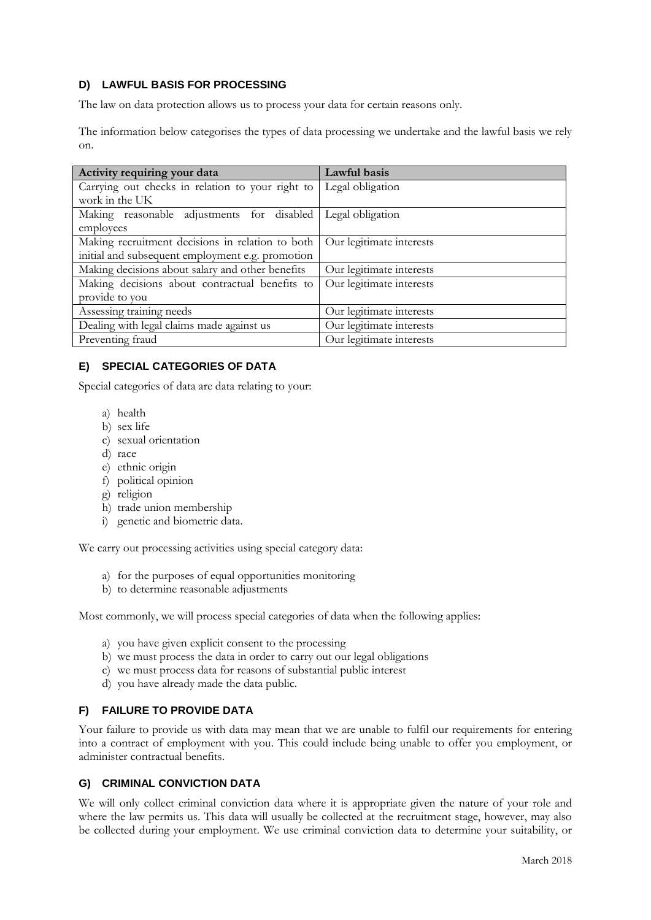# **D) LAWFUL BASIS FOR PROCESSING**

The law on data protection allows us to process your data for certain reasons only.

The information below categorises the types of data processing we undertake and the lawful basis we rely on.

| Activity requiring your data                     | Lawful basis             |
|--------------------------------------------------|--------------------------|
| Carrying out checks in relation to your right to | Legal obligation         |
| work in the UK                                   |                          |
| Making reasonable adjustments for disabled       | Legal obligation         |
| employees                                        |                          |
| Making recruitment decisions in relation to both | Our legitimate interests |
| initial and subsequent employment e.g. promotion |                          |
| Making decisions about salary and other benefits | Our legitimate interests |
| Making decisions about contractual benefits to   | Our legitimate interests |
| provide to you                                   |                          |
| Assessing training needs                         | Our legitimate interests |
| Dealing with legal claims made against us        | Our legitimate interests |
| Preventing fraud                                 | Our legitimate interests |

### **E) SPECIAL CATEGORIES OF DATA**

Special categories of data are data relating to your:

- a) health
- b) sex life
- c) sexual orientation
- d) race
- e) ethnic origin
- f) political opinion
- g) religion
- h) trade union membership
- i) genetic and biometric data.

We carry out processing activities using special category data:

- a) for the purposes of equal opportunities monitoring
- b) to determine reasonable adjustments

Most commonly, we will process special categories of data when the following applies:

- a) you have given explicit consent to the processing
- b) we must process the data in order to carry out our legal obligations
- c) we must process data for reasons of substantial public interest
- d) you have already made the data public.

### **F) FAILURE TO PROVIDE DATA**

Your failure to provide us with data may mean that we are unable to fulfil our requirements for entering into a contract of employment with you. This could include being unable to offer you employment, or administer contractual benefits.

### **G) CRIMINAL CONVICTION DATA**

We will only collect criminal conviction data where it is appropriate given the nature of your role and where the law permits us. This data will usually be collected at the recruitment stage, however, may also be collected during your employment. We use criminal conviction data to determine your suitability, or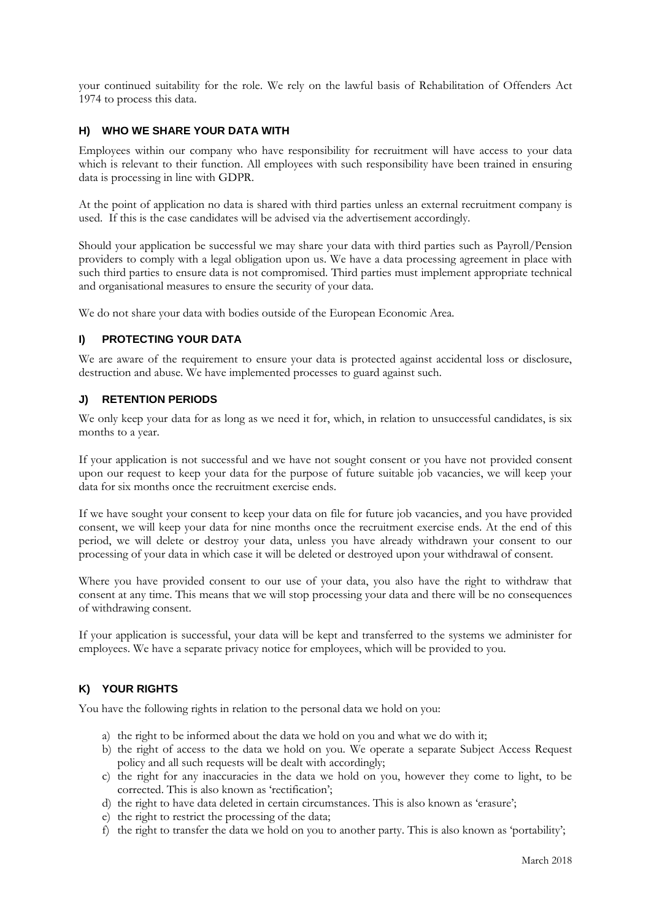your continued suitability for the role. We rely on the lawful basis of Rehabilitation of Offenders Act 1974 to process this data.

#### **H) WHO WE SHARE YOUR DATA WITH**

Employees within our company who have responsibility for recruitment will have access to your data which is relevant to their function. All employees with such responsibility have been trained in ensuring data is processing in line with GDPR.

At the point of application no data is shared with third parties unless an external recruitment company is used. If this is the case candidates will be advised via the advertisement accordingly.

Should your application be successful we may share your data with third parties such as Payroll/Pension providers to comply with a legal obligation upon us. We have a data processing agreement in place with such third parties to ensure data is not compromised. Third parties must implement appropriate technical and organisational measures to ensure the security of your data.

We do not share your data with bodies outside of the European Economic Area.

#### **I) PROTECTING YOUR DATA**

We are aware of the requirement to ensure your data is protected against accidental loss or disclosure, destruction and abuse. We have implemented processes to guard against such.

#### **J) RETENTION PERIODS**

We only keep your data for as long as we need it for, which, in relation to unsuccessful candidates, is six months to a year.

If your application is not successful and we have not sought consent or you have not provided consent upon our request to keep your data for the purpose of future suitable job vacancies, we will keep your data for six months once the recruitment exercise ends.

If we have sought your consent to keep your data on file for future job vacancies, and you have provided consent, we will keep your data for nine months once the recruitment exercise ends. At the end of this period, we will delete or destroy your data, unless you have already withdrawn your consent to our processing of your data in which case it will be deleted or destroyed upon your withdrawal of consent.

Where you have provided consent to our use of your data, you also have the right to withdraw that consent at any time. This means that we will stop processing your data and there will be no consequences of withdrawing consent.

If your application is successful, your data will be kept and transferred to the systems we administer for employees. We have a separate privacy notice for employees, which will be provided to you.

## **K) YOUR RIGHTS**

You have the following rights in relation to the personal data we hold on you:

- a) the right to be informed about the data we hold on you and what we do with it;
- b) the right of access to the data we hold on you. We operate a separate Subject Access Request policy and all such requests will be dealt with accordingly;
- c) the right for any inaccuracies in the data we hold on you, however they come to light, to be corrected. This is also known as 'rectification';
- d) the right to have data deleted in certain circumstances. This is also known as 'erasure';
- e) the right to restrict the processing of the data;
- f) the right to transfer the data we hold on you to another party. This is also known as 'portability';